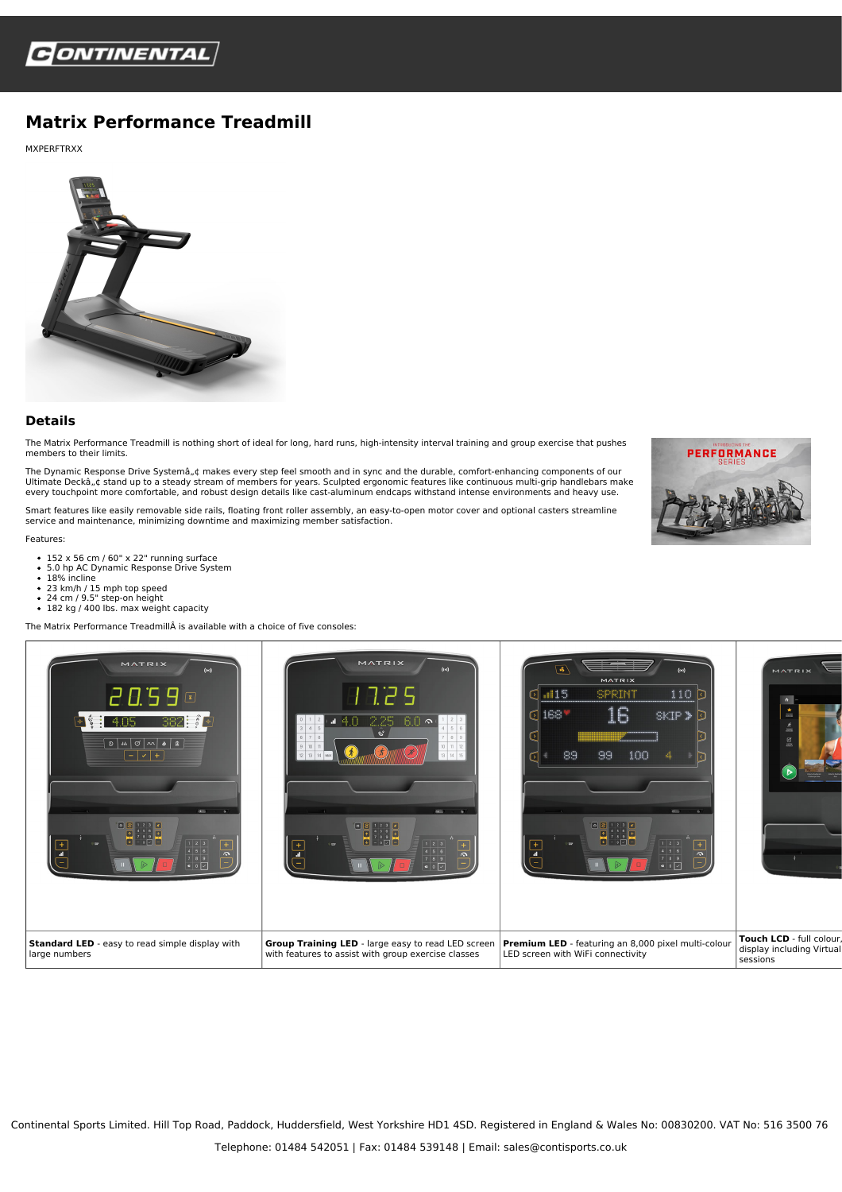

## **Matrix Performance Treadmill**

MXPERFTRXX



## **Details**

The Matrix Performance Treadmill is nothing short of ideal for long, hard runs, high-intensity interval training and group exercise that pushes members to their limits.

The Dynamic Response Drive Systemâ"¢ makes every step feel smooth and in sync and the durable, comfort-enhancing components of our<br>Ultimate Deckâ"¢ stand up to a steady stream of members for years. Sculpted ergonomic featu every touchpoint more comfortable, and robust design details like cast-aluminum endcaps withstand intense environments and heavy use.

Smart features like easily removable side rails, floating front roller assembly, an easy-to-open motor cover and optional casters streamline sing readered maintenance, minimizing downtime and maximizing member satisfaction.

Features:

- 152 x 56 cm / 60" x 22" running surface<br>5.0 hp AC Dynamic Response Drive System
- 
- 18% incline
- 23 km/h / 15 mph top speed
- 24 cm / 9.5" step-on height<br>182 kg / 400 lbs. max weight capacity
- 

The Matrix Performance TreadmillÂ is available with a choice of five consoles:





Continental Sports Limited. Hill Top Road, Paddock, Huddersfield, West Yorkshire HD1 4SD. Registered in England & Wales No: 00830200. VAT No: 516 3500 76